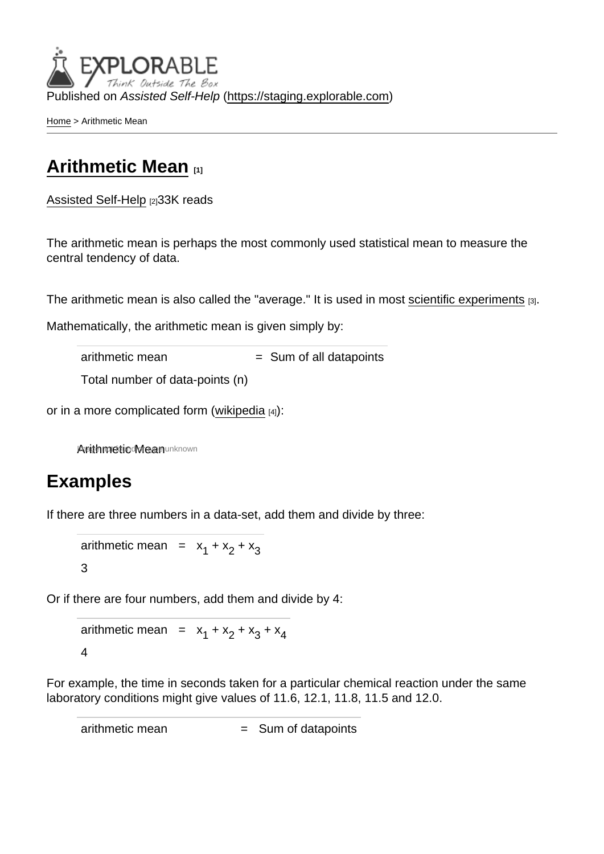Published on Assisted Self-Help [\(https://staging.explorable.com](https://staging.explorable.com))

[Home](https://staging.explorable.com/en) > Arithmetic Mean

## [Arithmetic Mean](https://staging.explorable.com/en/arithmetic-mean) [1]

[Assisted Self-Help](https://staging.explorable.com/en) [2]33K reads

The arithmetic mean is perhaps the most commonly used statistical mean to measure the central tendency of data.

The arithmetic mean is also called the "average." It is used in most [scientific experiments](https://staging.explorable.com/conducting-an-experiment) [3].

Mathematically, the arithmetic mean is given simply by:

 $arithmetic mean$  = Sum of all datapoints

Total number of data-points (n)

or in a more complicated form [\(wikipedia](http://en.wikipedia.org/wiki/Arithmetic_mean)  $[4]$ ):

Aprithmetic Mean unknown

## Examples

If there are three numbers in a data-set, add them and divide by three:

arithmetic mean  $= x_1 + x_2 + x_3$ 3

Or if there are four numbers, add them and divide by 4:

arithmetic mean =  $x_1 + x_2 + x_3 + x_4$ 4

For example, the time in seconds taken for a particular chemical reaction under the same laboratory conditions might give values of 11.6, 12.1, 11.8, 11.5 and 12.0.

 $arithmetic mean$  = Sum of datapoints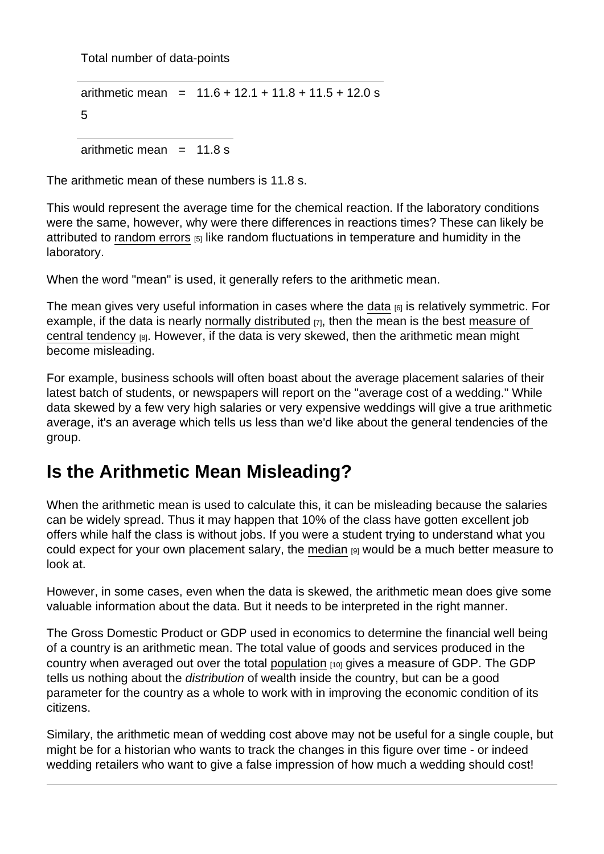Total number of data-points

arithmetic mean =  $11.6 + 12.1 + 11.8 + 11.5 + 12.0$  s 5

arithmetic mean  $= 11.8$  s

The arithmetic mean of these numbers is 11.8 s.

This would represent the average time for the chemical reaction. If the laboratory conditions were the same, however, why were there differences in reactions times? These can likely be attributed to [random errors](https://staging.explorable.com/random-error) [5] like random fluctuations in temperature and humidity in the laboratory.

When the word "mean" is used, it generally refers to the arithmetic mean.

The mean gives very useful information in cases where the [data](https://staging.explorable.com/statistical-data-sets)  $_{[6]}$  is relatively symmetric. For example, if the data is nearly [normally distributed](https://staging.explorable.com/normal-probability-distribution)  $_{[7]}$ , then the mean is the best measure of [central tendency](https://staging.explorable.com/measures-of-central-tendency) [8]. However, if the data is very skewed, then the arithmetic mean might become misleading.

For example, business schools will often boast about the average placement salaries of their latest batch of students, or newspapers will report on the "average cost of a wedding." While data skewed by a few very high salaries or very expensive weddings will give a true arithmetic average, it's an average which tells us less than we'd like about the general tendencies of the group.

## Is the Arithmetic Mean Misleading?

When the arithmetic mean is used to calculate this, it can be misleading because the salaries can be widely spread. Thus it may happen that 10% of the class have gotten excellent job offers while half the class is without jobs. If you were a student trying to understand what you could expect for your own placement salary, the [median](https://staging.explorable.com/calculate-median) [9] would be a much better measure to look at.

However, in some cases, even when the data is skewed, the arithmetic mean does give some valuable information about the data. But it needs to be interpreted in the right manner.

The Gross Domestic Product or GDP used in economics to determine the financial well being of a country is an arithmetic mean. The total value of goods and services produced in the country when averaged out over the total [population](https://staging.explorable.com/research-population) [10] gives a measure of GDP. The GDP tells us nothing about the distribution of wealth inside the country, but can be a good parameter for the country as a whole to work with in improving the economic condition of its citizens.

Similary, the arithmetic mean of wedding cost above may not be useful for a single couple, but might be for a historian who wants to track the changes in this figure over time - or indeed wedding retailers who want to give a false impression of how much a wedding should cost!